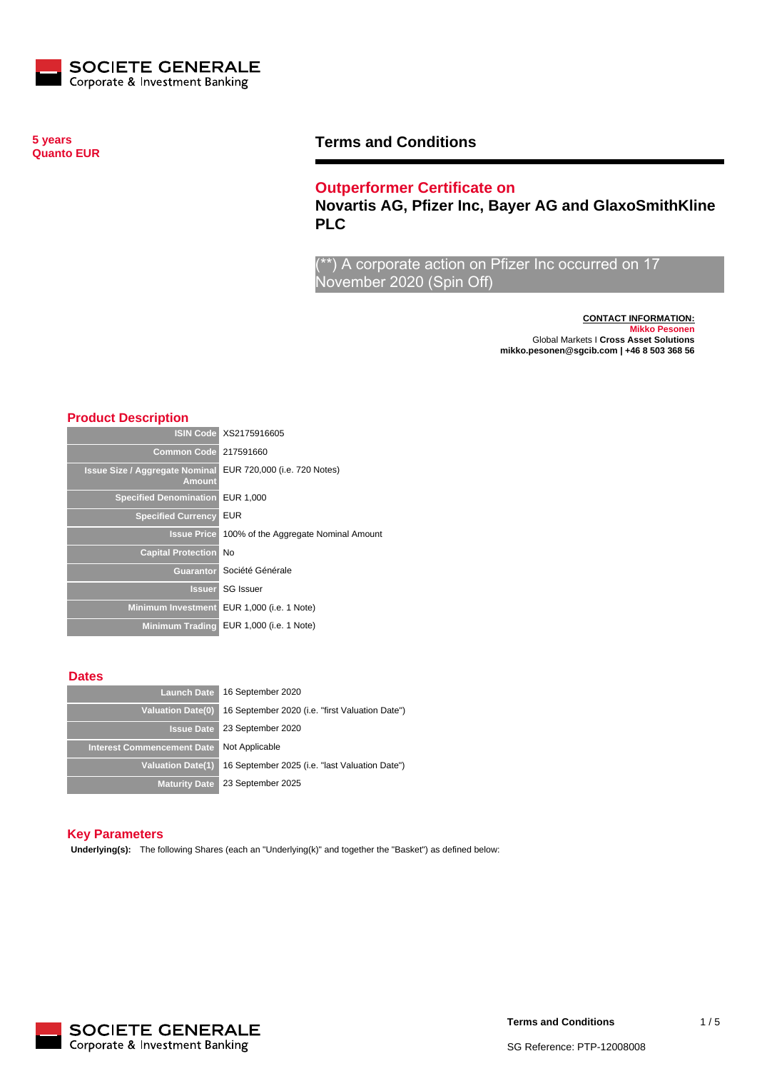

**5 years Quanto EUR**

## **Terms and Conditions**

## **Outperformer Certificate on**

**Novartis AG, Pfizer Inc, Bayer AG and GlaxoSmithKline PLC**

\*) A corporate action on Pfizer Inc occurred on 17 November 2020 (Spin Off)

> **CONTACT INFORMATION: Mikko Pesonen** Global Markets I **Cross Asset Solutions mikko.pesonen@sgcib.com | +46 8 503 368 56**

### **Product Description**

|                                                        | <b>ISIN Code XS2175916605</b>           |
|--------------------------------------------------------|-----------------------------------------|
| <b>Common Code</b>                                     | 217591660                               |
| <b>Issue Size / Aggregate Nominal</b><br><b>Amount</b> | EUR 720,000 (i.e. 720 Notes)            |
| <b>Specified Denomination</b>                          | EUR 1,000                               |
| <b>Specified Currency</b>                              | <b>EUR</b>                              |
| <b>Issue Price</b>                                     | 100% of the Aggregate Nominal Amount    |
| <b>Capital Protection</b>                              | <b>No</b>                               |
|                                                        | Guarantor Société Générale              |
| <b>Issuer</b>                                          | <b>SG</b> Issuer                        |
| <b>Minimum Investment</b>                              | EUR 1,000 (i.e. 1 Note)                 |
|                                                        | Minimum Trading EUR 1,000 (i.e. 1 Note) |

#### **Dates**

| <b>Launch Date</b>                | 16 September 2020                               |
|-----------------------------------|-------------------------------------------------|
| Valuation Date(0)                 | 16 September 2020 (i.e. "first Valuation Date") |
| <b>Issue Date</b>                 | 23 September 2020                               |
| <b>Interest Commencement Date</b> | Not Applicable                                  |
| Valuation Date(1)                 | 16 September 2025 (i.e. "last Valuation Date")  |
| <b>Maturity Date</b>              | 23 September 2025                               |

#### **Key Parameters**

**Underlying(s):** The following Shares (each an "Underlying(k)" and together the "Basket") as defined below:

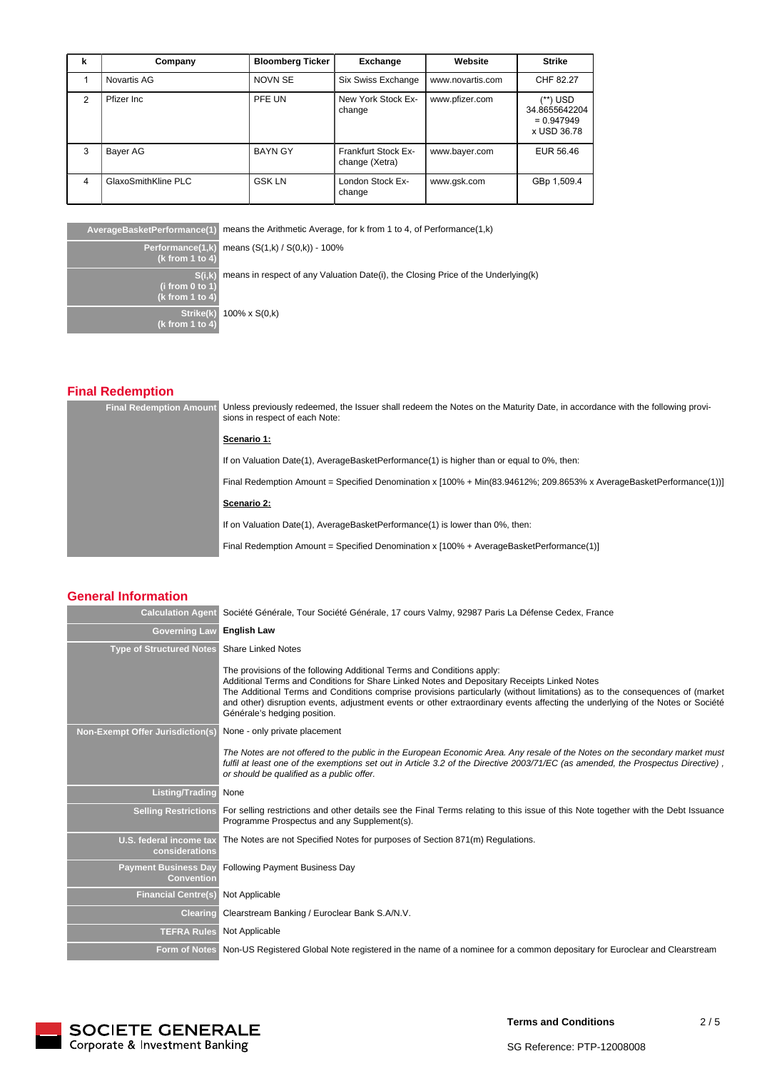| k | Company             | <b>Bloomberg Ticker</b> | Exchange                                     | Website          | Strike                                                   |
|---|---------------------|-------------------------|----------------------------------------------|------------------|----------------------------------------------------------|
|   | Novartis AG         | <b>NOVN SE</b>          | Six Swiss Exchange                           | www.novartis.com | CHF 82.27                                                |
| 2 | Pfizer Inc.         | PFE UN                  | New York Stock Ex-<br>change                 | www.pfizer.com   | (**) USD<br>34.8655642204<br>$= 0.947949$<br>x USD 36.78 |
| 3 | Bayer AG            | <b>BAYN GY</b>          | <b>Frankfurt Stock Ex-</b><br>change (Xetra) | www.bayer.com    | EUR 56.46                                                |
| 4 | GlaxoSmithKline PLC | <b>GSK LN</b>           | London Stock Ex-<br>change                   | www.gsk.com      | GBp 1,509.4                                              |

**AverageBasketPerformance(1)** means the Arithmetic Average, for k from 1 to 4, of Performance(1,k)

**Performance(1,k) (k from 1 to 4) S(i,k) (i from 0 to 1) (k from 1 to 4) Strike(k) (k from 1 to 4)** 100% x S(0,k)

means (S(1,k) / S(0,k)) - 100%

means in respect of any Valuation Date(i), the Closing Price of the Underlying(k)

# **Final Redemption**

| <b>Final Redemption Amount</b> | Unless previously redeemed, the Issuer shall redeem the Notes on the Maturity Date, in accordance with the following provi-<br>sions in respect of each Note: |                                                                                                                     |
|--------------------------------|---------------------------------------------------------------------------------------------------------------------------------------------------------------|---------------------------------------------------------------------------------------------------------------------|
|                                |                                                                                                                                                               | Scenario 1:                                                                                                         |
|                                |                                                                                                                                                               | If on Valuation Date(1), AverageBasketPerformance(1) is higher than or equal to 0%, then:                           |
|                                |                                                                                                                                                               | Final Redemption Amount = Specified Denomination x [100% + Min(83.94612%; 209.8653% x AverageBasketPerformance(1))] |
|                                |                                                                                                                                                               | Scenario 2:                                                                                                         |
|                                |                                                                                                                                                               | If on Valuation Date(1), AverageBasketPerformance(1) is lower than 0%, then:                                        |
|                                |                                                                                                                                                               | Final Redemption Amount = Specified Denomination x [100% + AverageBasketPerformance(1)]                             |

### **General Information**

| <b>Calculation Agent</b>                         | Société Générale, Tour Société Générale, 17 cours Valmy, 92987 Paris La Défense Cedex, France                                                                                                                                                                                                                                                                                                                                                                           |
|--------------------------------------------------|-------------------------------------------------------------------------------------------------------------------------------------------------------------------------------------------------------------------------------------------------------------------------------------------------------------------------------------------------------------------------------------------------------------------------------------------------------------------------|
| <b>Governing Law</b>                             | <b>English Law</b>                                                                                                                                                                                                                                                                                                                                                                                                                                                      |
| <b>Type of Structured Notes</b>                  | <b>Share Linked Notes</b>                                                                                                                                                                                                                                                                                                                                                                                                                                               |
|                                                  | The provisions of the following Additional Terms and Conditions apply:<br>Additional Terms and Conditions for Share Linked Notes and Depositary Receipts Linked Notes<br>The Additional Terms and Conditions comprise provisions particularly (without limitations) as to the consequences of (market<br>and other) disruption events, adjustment events or other extraordinary events affecting the underlying of the Notes or Société<br>Générale's hedging position. |
| <b>Non-Exempt Offer Jurisdiction(s)</b>          | None - only private placement                                                                                                                                                                                                                                                                                                                                                                                                                                           |
|                                                  | The Notes are not offered to the public in the European Economic Area. Any resale of the Notes on the secondary market must<br>fulfil at least one of the exemptions set out in Article 3.2 of the Directive 2003/71/EC (as amended, the Prospectus Directive),<br>or should be qualified as a public offer.                                                                                                                                                            |
| <b>Listing/Trading</b>                           | None                                                                                                                                                                                                                                                                                                                                                                                                                                                                    |
| <b>Selling Restrictions</b>                      | For selling restrictions and other details see the Final Terms relating to this issue of this Note together with the Debt Issuance<br>Programme Prospectus and any Supplement(s).                                                                                                                                                                                                                                                                                       |
| U.S. federal income tax<br>considerations        | The Notes are not Specified Notes for purposes of Section 871(m) Regulations.                                                                                                                                                                                                                                                                                                                                                                                           |
| <b>Payment Business Day</b><br><b>Convention</b> | <b>Following Payment Business Day</b>                                                                                                                                                                                                                                                                                                                                                                                                                                   |
| <b>Financial Centre(s)</b>                       | Not Applicable                                                                                                                                                                                                                                                                                                                                                                                                                                                          |
| <b>Clearing</b>                                  | Clearstream Banking / Euroclear Bank S.A/N.V.                                                                                                                                                                                                                                                                                                                                                                                                                           |
| <b>TEFRA Rules</b>                               | Not Applicable                                                                                                                                                                                                                                                                                                                                                                                                                                                          |
|                                                  | Form of Notes Non-US Registered Global Note registered in the name of a nominee for a common depositary for Euroclear and Clearstream                                                                                                                                                                                                                                                                                                                                   |



**Terms and Conditions**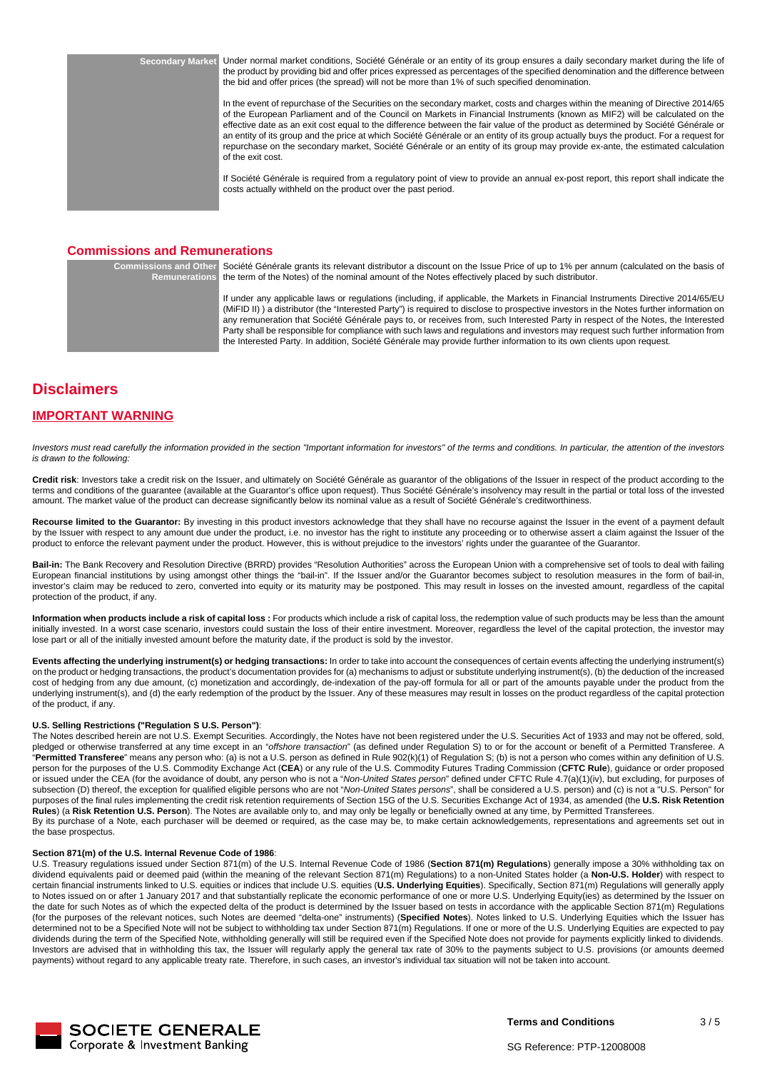**Secondary Market** Under normal market conditions, Société Générale or an entity of its group ensures a daily secondary market during the life of the product by providing bid and offer prices expressed as percentages of the specified denomination and the difference between the bid and offer prices (the spread) will not be more than 1% of such specified denomination.

> In the event of repurchase of the Securities on the secondary market, costs and charges within the meaning of Directive 2014/65 of the European Parliament and of the Council on Markets in Financial Instruments (known as MIF2) will be calculated on the effective date as an exit cost equal to the difference between the fair value of the product as determined by Société Générale or an entity of its group and the price at which Société Générale or an entity of its group actually buys the product. For a request for repurchase on the secondary market, Société Générale or an entity of its group may provide ex-ante, the estimated calculation of the exit cost.

> If Société Générale is required from a regulatory point of view to provide an annual ex-post report, this report shall indicate the costs actually withheld on the product over the past period.

### **Commissions and Remunerations**

**Commissions and Other Remunerations** Société Générale grants its relevant distributor a discount on the Issue Price of up to 1% per annum (calculated on the basis of the term of the Notes) of the nominal amount of the Notes effectively placed by such distributor.

> If under any applicable laws or regulations (including, if applicable, the Markets in Financial Instruments Directive 2014/65/EU (MiFID II) ) a distributor (the "Interested Party") is required to disclose to prospective investors in the Notes further information on any remuneration that Société Générale pays to, or receives from, such Interested Party in respect of the Notes, the Interested Party shall be responsible for compliance with such laws and regulations and investors may request such further information from the Interested Party. In addition, Société Générale may provide further information to its own clients upon request.

## **Disclaimers**

### **IMPORTANT WARNING**

Investors must read carefully the information provided in the section "Important information for investors" of the terms and conditions. In particular, the attention of the investors is drawn to the following:

**Credit risk**: Investors take a credit risk on the Issuer, and ultimately on Société Générale as guarantor of the obligations of the Issuer in respect of the product according to the terms and conditions of the guarantee (available at the Guarantor's office upon request). Thus Société Générale's insolvency may result in the partial or total loss of the invested amount. The market value of the product can decrease significantly below its nominal value as a result of Société Générale's creditworthiness.

**Recourse limited to the Guarantor:** By investing in this product investors acknowledge that they shall have no recourse against the Issuer in the event of a payment default by the Issuer with respect to any amount due under the product, i.e. no investor has the right to institute any proceeding or to otherwise assert a claim against the Issuer of the product to enforce the relevant payment under the product. However, this is without prejudice to the investors' rights under the guarantee of the Guarantor.

Bail-in: The Bank Recovery and Resolution Directive (BRRD) provides "Resolution Authorities" across the European Union with a comprehensive set of tools to deal with failing European financial institutions by using amongst other things the "bail-in". If the Issuer and/or the Guarantor becomes subject to resolution measures in the form of bail-in, investor's claim may be reduced to zero, converted into equity or its maturity may be postponed. This may result in losses on the invested amount, regardless of the capital protection of the product, if any.

**Information when products include a risk of capital loss :** For products which include a risk of capital loss, the redemption value of such products may be less than the amount initially invested. In a worst case scenario, investors could sustain the loss of their entire investment. Moreover, regardless the level of the capital protection, the investor may lose part or all of the initially invested amount before the maturity date, if the product is sold by the investor.

**Events affecting the underlying instrument(s) or hedging transactions:** In order to take into account the consequences of certain events affecting the underlying instrument(s) on the product or hedging transactions, the product's documentation provides for (a) mechanisms to adjust or substitute underlying instrument(s), (b) the deduction of the increased cost of hedging from any due amount, (c) monetization and accordingly, de-indexation of the pay-off formula for all or part of the amounts payable under the product from the underlying instrument(s), and (d) the early redemption of the product by the Issuer. Any of these measures may result in losses on the product regardless of the capital protection of the product, if any.

#### **U.S. Selling Restrictions ("Regulation S U.S. Person")**:

The Notes described herein are not U.S. Exempt Securities. Accordingly, the Notes have not been registered under the U.S. Securities Act of 1933 and may not be offered, sold, pledged or otherwise transferred at any time except in an "offshore transaction" (as defined under Regulation S) to or for the account or benefit of a Permitted Transferee. A "**Permitted Transferee**" means any person who: (a) is not a U.S. person as defined in Rule 902(k)(1) of Regulation S; (b) is not a person who comes within any definition of U.S. person for the purposes of the U.S. Commodity Exchange Act (**CEA**) or any rule of the U.S. Commodity Futures Trading Commission (**CFTC Rule**), guidance or order proposed or issued under the CEA (for the avoidance of doubt, any person who is not a "Non-United States person" defined under CFTC Rule 4.7(a)(1)(iv), but excluding, for purposes of subsection (D) thereof, the exception for qualified eligible persons who are not "Non-United States persons", shall be considered a U.S. person) and (c) is not a "U.S. Person" for purposes of the final rules implementing the credit risk retention requirements of Section 15G of the U.S. Securities Exchange Act of 1934, as amended (the **U.S. Risk Retention Rules**) (a **Risk Retention U.S. Person**). The Notes are available only to, and may only be legally or beneficially owned at any time, by Permitted Transferees. By its purchase of a Note, each purchaser will be deemed or required, as the case may be, to make certain acknowledgements, representations and agreements set out in the base prospectus.

#### **Section 871(m) of the U.S. Internal Revenue Code of 1986**:

U.S. Treasury regulations issued under Section 871(m) of the U.S. Internal Revenue Code of 1986 (**Section 871(m) Regulations**) generally impose a 30% withholding tax on dividend equivalents paid or deemed paid (within the meaning of the relevant Section 871(m) Regulations) to a non-United States holder (a **Non-U.S. Holder**) with respect to certain financial instruments linked to U.S. equities or indices that include U.S. equities (**U.S. Underlying Equities**). Specifically, Section 871(m) Regulations will generally apply to Notes issued on or after 1 January 2017 and that substantially replicate the economic performance of one or more U.S. Underlying Equity(ies) as determined by the Issuer on the date for such Notes as of which the expected delta of the product is determined by the Issuer based on tests in accordance with the applicable Section 871(m) Regulations (for the purposes of the relevant notices, such Notes are deemed "delta-one" instruments) (**Specified Notes**). Notes linked to U.S. Underlying Equities which the Issuer has determined not to be a Specified Note will not be subject to withholding tax under Section 871(m) Regulations. If one or more of the U.S. Underlying Equities are expected to pay dividends during the term of the Specified Note, withholding generally will still be required even if the Specified Note does not provide for payments explicitly linked to dividends. Investors are advised that in withholding this tax, the Issuer will regularly apply the general tax rate of 30% to the payments subject to U.S. provisions (or amounts deemed payments) without regard to any applicable treaty rate. Therefore, in such cases, an investor's individual tax situation will not be taken into account.

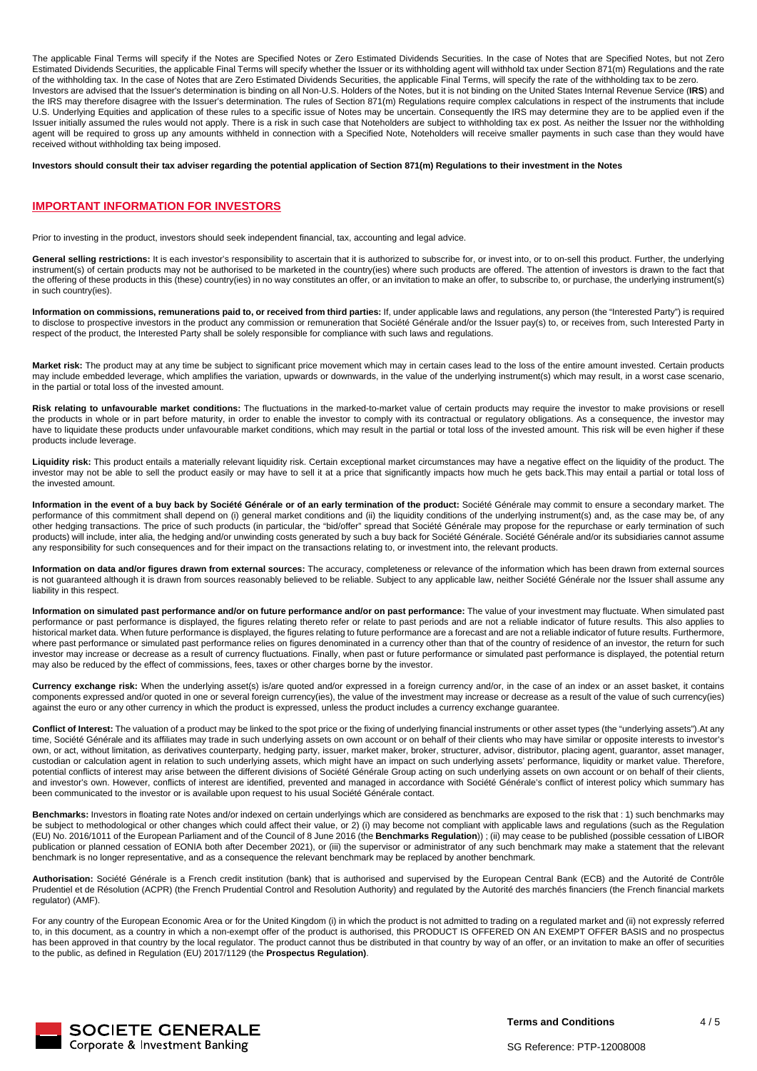The applicable Final Terms will specify if the Notes are Specified Notes or Zero Estimated Dividends Securities. In the case of Notes that are Specified Notes, but not Zero Estimated Dividends Securities, the applicable Final Terms will specify whether the Issuer or its withholding agent will withhold tax under Section 871(m) Regulations and the rate of the withholding tax. In the case of Notes that are Zero Estimated Dividends Securities, the applicable Final Terms, will specify the rate of the withholding tax to be zero. Investors are advised that the Issuer's determination is binding on all Non-U.S. Holders of the Notes, but it is not binding on the United States Internal Revenue Service (**IRS**) and the IRS may therefore disagree with the Issuer's determination. The rules of Section 871(m) Regulations require complex calculations in respect of the instruments that include U.S. Underlying Equities and application of these rules to a specific issue of Notes may be uncertain. Consequently the IRS may determine they are to be applied even if the Issuer initially assumed the rules would not apply. There is a risk in such case that Noteholders are subject to withholding tax ex post. As neither the Issuer nor the withholding Issuer initially assumed the rules would n agent will be required to gross up any amounts withheld in connection with a Specified Note, Noteholders will receive smaller payments in such case than they would have received without withholding tax being imposed.

**Investors should consult their tax adviser regarding the potential application of Section 871(m) Regulations to their investment in the Notes**

#### **IMPORTANT INFORMATION FOR INVESTORS**

Prior to investing in the product, investors should seek independent financial, tax, accounting and legal advice.

General selling restrictions: It is each investor's responsibility to ascertain that it is authorized to subscribe for, or invest into, or to on-sell this product. Further, the underlying instrument(s) of certain products may not be authorised to be marketed in the country(ies) where such products are offered. The attention of investors is drawn to the fact that the offering of these products in this (these) country(ies) in no way constitutes an offer, or an invitation to make an offer, to subscribe to, or purchase, the underlying instrument(s) in such country(ies).

**Information on commissions, remunerations paid to, or received from third parties:** If, under applicable laws and regulations, any person (the "Interested Party") is required to disclose to prospective investors in the product any commission or remuneration that Société Générale and/or the Issuer pay(s) to, or receives from, such Interested Party in respect of the product, the Interested Party shall be solely responsible for compliance with such laws and regulations.

**Market risk:** The product may at any time be subject to significant price movement which may in certain cases lead to the loss of the entire amount invested. Certain products may include embedded leverage, which amplifies the variation, upwards or downwards, in the value of the underlying instrument(s) which may result, in a worst case scenario, in the partial or total loss of the invested amount.

**Risk relating to unfavourable market conditions:** The fluctuations in the marked-to-market value of certain products may require the investor to make provisions or resell the products in whole or in part before maturity, in order to enable the investor to comply with its contractual or regulatory obligations. As a consequence, the investor may have to liquidate these products under unfavourable market conditions, which may result in the partial or total loss of the invested amount. This risk will be even higher if these products include leverage.

**Liquidity risk:** This product entails a materially relevant liquidity risk. Certain exceptional market circumstances may have a negative effect on the liquidity of the product. The investor may not be able to sell the product easily or may have to sell it at a price that significantly impacts how much he gets back.This may entail a partial or total loss of the invested amount.

**Information in the event of a buy back by Société Générale or of an early termination of the product:** Société Générale may commit to ensure a secondary market. The performance of this commitment shall depend on (i) general market conditions and (ii) the liquidity conditions of the underlying instrument(s) and, as the case may be, of any other hedging transactions. The price of such products (in particular, the "bid/offer" spread that Société Générale may propose for the repurchase or early termination of such products) will include, inter alia, the hedging and/or unwinding costs generated by such a buy back for Société Générale. Société Générale and/or its subsidiaries cannot assume any responsibility for such consequences and for their impact on the transactions relating to, or investment into, the relevant products.

**Information on data and/or figures drawn from external sources:** The accuracy, completeness or relevance of the information which has been drawn from external sources is not quaranteed although it is drawn from sources reasonably believed to be reliable. Subject to any applicable law, neither Société Générale nor the Issuer shall assume any liability in this respect.

**Information on simulated past performance and/or on future performance and/or on past performance:** The value of your investment may fluctuate. When simulated past performance or past performance is displayed, the figures relating thereto refer or relate to past periods and are not a reliable indicator of future results. This also applies to historical market data. When future performance is displayed, the figures relating to future performance are a forecast and are not a reliable indicator of future results. Furthermore, where past performance or simulated past performance relies on figures denominated in a currency other than that of the country of residence of an investor, the return for such investor may increase or decrease as a result of currency fluctuations. Finally, when past or future performance or simulated past performance is displayed, the potential return may also be reduced by the effect of commissions, fees, taxes or other charges borne by the investor.

**Currency exchange risk:** When the underlying asset(s) is/are quoted and/or expressed in a foreign currency and/or, in the case of an index or an asset basket, it contains components expressed and/or quoted in one or several foreign currency(ies), the value of the investment may increase or decrease as a result of the value of such currency(ies) against the euro or any other currency in which the product is expressed, unless the product includes a currency exchange guarantee.

**Conflict of Interest:** The valuation of a product may be linked to the spot price or the fixing of underlying financial instruments or other asset types (the "underlying assets").At any time, Société Générale and its affiliates may trade in such underlying assets on own account or on behalf of their clients who may have similar or opposite interests to investor's own, or act, without limitation, as derivatives counterparty, hedging party, issuer, market maker, broker, structurer, advisor, distributor, placing agent, guarantor, asset manager, and a serivatives counterparty, hedging custodian or calculation agent in relation to such underlying assets, which might have an impact on such underlying assets' performance, liquidity or market value. Therefore, potential conflicts of interest may arise between the different divisions of Société Générale Group acting on such underlying assets on own account or on behalf of their clients, and investor's own. However, conflicts of interest are identified, prevented and managed in accordance with Société Générale's conflict of interest policy which summary has been communicated to the investor or is available upon request to his usual Société Générale contact.

**Benchmarks:** Investors in floating rate Notes and/or indexed on certain underlyings which are considered as benchmarks are exposed to the risk that : 1) such benchmarks may be subject to methodological or other changes which could affect their value, or 2) (i) may become not compliant with applicable laws and regulations (such as the Regulation (EU) No. 2016/1011 of the European Parliament and of the Council of 8 June 2016 (the **Benchmarks Regulation**)) ; (ii) may cease to be published (possible cessation of LIBOR publication or planned cessation of EONIA both after December 2021), or (iii) the supervisor or administrator of any such benchmark may make a statement that the relevant benchmark is no longer representative, and as a consequence the relevant benchmark may be replaced by another benchmark.

**Authorisation:** Société Générale is a French credit institution (bank) that is authorised and supervised by the European Central Bank (ECB) and the Autorité de Contrôle Prudentiel et de Résolution (ACPR) (the French Prudential Control and Resolution Authority) and regulated by the Autorité des marchés financiers (the French financial markets regulator) (AMF).

For any country of the European Economic Area or for the United Kingdom (i) in which the product is not admitted to trading on a regulated market and (ii) not expressly referred to, in this document, as a country in which a non-exempt offer of the product is authorised, this PRODUCT IS OFFERED ON AN EXEMPT OFFER BASIS and no prospectus has been approved in that country by the local regulator. The product cannot thus be distributed in that country by way of an offer, or an invitation to make an offer of securities to the public, as defined in Regulation (EU) 2017/1129 (the **Prospectus Regulation)**.



**Terms and Conditions**